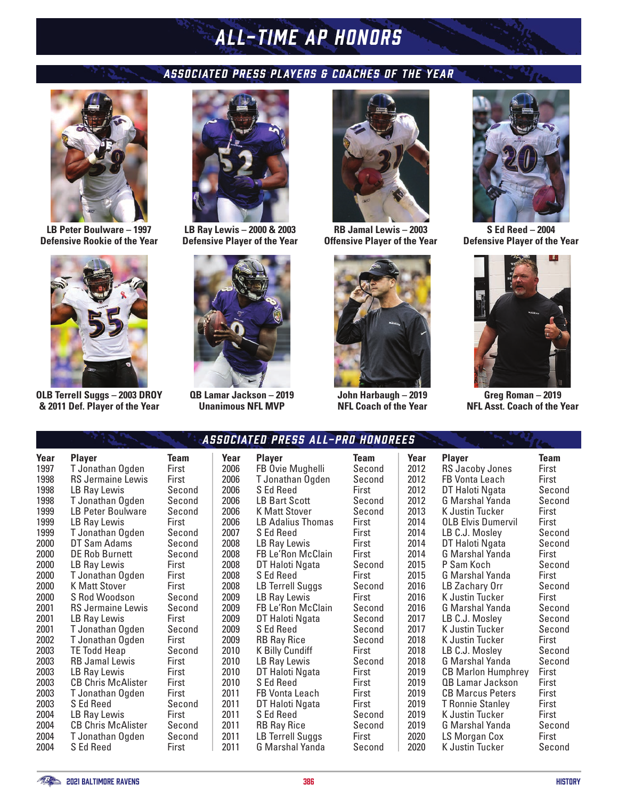## *RAVENS HISTORY ALL-TIME AP HONORS*

## *ASSOCIATED PRESS PLAYERS & COACHES OF THE YEAR*



**LB Peter Boulware – 1997 Defensive Rookie of the Year**



**OLB Terrell Suggs – 2003 DROY & 2011 Def. Player of the Year**



**LB Ray Lewis – 2000 & 2003 Defensive Player of the Year**



**QB Lamar Jackson – 2019 Unanimous NFL MVP**



**RB Jamal Lewis – 2003 Offensive Player of the Year**



**John Harbaugh – 2019 NFL Coach of the Year**



**S Ed Reed – 2004 Defensive Player of the Year**



**Greg Roman – 2019 NFL Asst. Coach of the Year**

| Year<br>1997<br>1998<br>1998<br>1998<br>1999<br>1999<br>1999<br>2000<br>2000<br>2000<br>2000<br>2000<br>2000<br>2001<br>2001<br>2001<br>2002<br>2003<br>2003<br>2003<br>2003<br>2003<br>2003<br>2004<br>2004<br>2004<br>2004 | Player<br>T Jonathan Ogden<br><b>RS Jermaine Lewis</b><br>LB Ray Lewis<br>T Jonathan Ogden<br><b>LB Peter Boulware</b><br>LB Ray Lewis<br>T Jonathan Ogden<br>DT Sam Adams<br>DE Rob Burnett<br>LB Ray Lewis<br>T Jonathan Ogden<br><b>K Matt Stover</b><br>S Rod Woodson<br><b>RS Jermaine Lewis</b><br>LB Ray Lewis<br>T Jonathan Ogden<br>T Jonathan Ogden<br><b>TE Todd Heap</b><br><b>RB Jamal Lewis</b><br>LB Ray Lewis<br><b>CB Chris McAlister</b><br>T Jonathan Ogden<br>S Ed Reed<br>LB Ray Lewis<br><b>CB Chris McAlister</b><br>T Jonathan Ogden<br>S Ed Reed | Team<br>First<br>First<br>Second<br>Second<br>Second<br>First<br>Second<br>Second<br>Second<br>First<br>First<br>First<br>Second<br>Second<br>First<br>Second<br>First<br>Second<br>First<br>First<br>First<br>First<br>Second<br>First<br>Second<br>Second<br>First |
|------------------------------------------------------------------------------------------------------------------------------------------------------------------------------------------------------------------------------|---------------------------------------------------------------------------------------------------------------------------------------------------------------------------------------------------------------------------------------------------------------------------------------------------------------------------------------------------------------------------------------------------------------------------------------------------------------------------------------------------------------------------------------------------------------------------|----------------------------------------------------------------------------------------------------------------------------------------------------------------------------------------------------------------------------------------------------------------------|
|                                                                                                                                                                                                                              |                                                                                                                                                                                                                                                                                                                                                                                                                                                                                                                                                                           |                                                                                                                                                                                                                                                                      |

| AS.    |  |
|--------|--|
| Team   |  |
| First  |  |
| First  |  |
| Second |  |
| Second |  |
| Second |  |
| First  |  |
| Second |  |
| Second |  |
| Second |  |
| First  |  |
| First  |  |
| First  |  |
| Second |  |
| Second |  |
| First  |  |
| Second |  |
| First  |  |
| Second |  |
| First  |  |
| First  |  |
| First  |  |
| First  |  |
| Second |  |
| First  |  |
| Second |  |
| Second |  |

| Suciailu phłss All-phu Huni |                                                                                                                                                                                                                |
|-----------------------------|----------------------------------------------------------------------------------------------------------------------------------------------------------------------------------------------------------------|
| <b>Player</b>               | Team                                                                                                                                                                                                           |
| FB Ovie Mughelli            | Second                                                                                                                                                                                                         |
| T Jonathan Ogden            | Second                                                                                                                                                                                                         |
| S Ed Reed                   | First                                                                                                                                                                                                          |
|                             | Second                                                                                                                                                                                                         |
|                             | Second                                                                                                                                                                                                         |
|                             | First                                                                                                                                                                                                          |
| S Ed Reed                   | First                                                                                                                                                                                                          |
| LB Ray Lewis                | First                                                                                                                                                                                                          |
|                             | First                                                                                                                                                                                                          |
| DT Haloti Ngata             | Second                                                                                                                                                                                                         |
| S Ed Reed                   | First                                                                                                                                                                                                          |
| LB Terrell Suggs            | Second                                                                                                                                                                                                         |
| LB Ray Lewis                | First                                                                                                                                                                                                          |
| FB Le'Ron McClain           | Second                                                                                                                                                                                                         |
|                             | Second                                                                                                                                                                                                         |
| S Ed Reed                   | Second                                                                                                                                                                                                         |
|                             | Second                                                                                                                                                                                                         |
|                             | First                                                                                                                                                                                                          |
|                             | Second                                                                                                                                                                                                         |
|                             | First                                                                                                                                                                                                          |
| S Ed Reed                   | First                                                                                                                                                                                                          |
|                             | First                                                                                                                                                                                                          |
| DT Haloti Ngata             | First                                                                                                                                                                                                          |
| S Ed Reed                   | Second                                                                                                                                                                                                         |
| RB Ray Rice                 | Second                                                                                                                                                                                                         |
| LB Terrell Suggs            | First                                                                                                                                                                                                          |
|                             | LB Bart Scott<br><b>K Matt Stover</b><br><b>LB Adalius Thomas</b><br>FB Le'Ron McClain<br>DT Haloti Ngata<br><b>RB Ray Rice</b><br><b>K Billy Cundiff</b><br>LB Ray Lewis<br>DT Haloti Ngata<br>FB Vonta Leach |

|      | Associated press All-pro Honorees |             |                |
|------|-----------------------------------|-------------|----------------|
| Year | <b>Player</b>                     | <b>Team</b> | Y              |
| 2006 | FB Ovie Mughelli                  | Second      | 20             |
| 2006 | T Jonathan Ogden                  | Second      | 2(             |
| 2006 | S Ed Reed                         | First       | 20             |
| 2006 | LB Bart Scott                     | Second      | $\overline{2}$ |
| 2006 | <b>K Matt Stover</b>              | Second      | 2(             |
| 2006 | LB Adalius Thomas                 | First       | 2(             |
| 2007 | S Ed Reed                         | First       | 2(             |
| 2008 | LB Ray Lewis                      | First       | 2(             |
| 2008 | FB Le'Ron McClain                 | First       | 2(             |
| 2008 | DT Haloti Ngata                   | Second      | 2(             |
| 2008 | S Ed Reed                         | First       | 20             |
| 2008 | LB Terrell Suggs                  | Second      | 2(             |
| 2009 | LB Ray Lewis                      | First       | 2(             |
| 2009 | FB Le'Ron McClain                 | Second      | 2(             |
| 2009 | DT Haloti Ngata                   | Second      | 2(             |
| 2009 | S Ed Reed                         | Second      | 2 <sub>0</sub> |
| 2009 | <b>RB Ray Rice</b>                | Second      | 2(             |
| 2010 | K Billy Cundiff                   | First       | 20             |
| 2010 | LB Ray Lewis                      | Second      | 2(             |
| 2010 | DT Haloti Ngata                   | First       | 2(             |
| 2010 | S Ed Reed                         | First       | 2(             |
| 2011 | FB Vonta Leach                    | First       | 2(             |
| 2011 | DT Haloti Ngata                   | First       | 2(             |
| 2011 | S Ed Reed                         | Second      | 2(             |
| 2011 | <b>RB Ray Rice</b>                | Second      | 2(             |
| 2011 | LB Terrell Suggs                  | First       | 20             |
| 2011 | G Marshal Yanda                   | Second      | 2(             |

| 5    |                           |        |
|------|---------------------------|--------|
| Year | <b>Player</b>             | Team   |
| 2012 | RS Jacoby Jones           | First  |
| 2012 | FB Vonta Leach            | First  |
| 2012 | DT Haloti Ngata           | Second |
| 2012 | G Marshal Yanda           | Second |
| 2013 | K Justin Tucker           | First  |
| 2014 | <b>OLB Elvis Dumervil</b> | First  |
| 2014 | LB C.J. Mosley            | Second |
| 2014 | DT Haloti Ngata           | Second |
| 2014 | G Marshal Yanda           | First  |
| 2015 | P Sam Koch                | Second |
| 2015 | G Marshal Yanda           | First  |
| 2016 | LB Zachary Orr            | Second |
| 2016 | K Justin Tucker           | First  |
| 2016 | G Marshal Yanda           | Second |
| 2017 | LB C.J. Mosley            | Second |
| 2017 | K Justin Tucker           | Second |
| 2018 | K Justin Tucker           | First  |
| 2018 | LB C.J. Mosley            | Second |
| 2018 | G Marshal Yanda           | Second |
| 2019 | <b>CB Marlon Humphrey</b> | First  |
| 2019 | QB Lamar Jackson          | First  |
| 2019 | CB Marcus Peters          | First  |
| 2019 | <b>T</b> Ronnie Stanley   | First  |
| 2019 | K Justin Tucker           | First  |
| 2019 | G Marshal Yanda           | Second |
| 2020 | LS Morgan Cox             | First  |
| 2020 | K Justin Tucker           | Second |